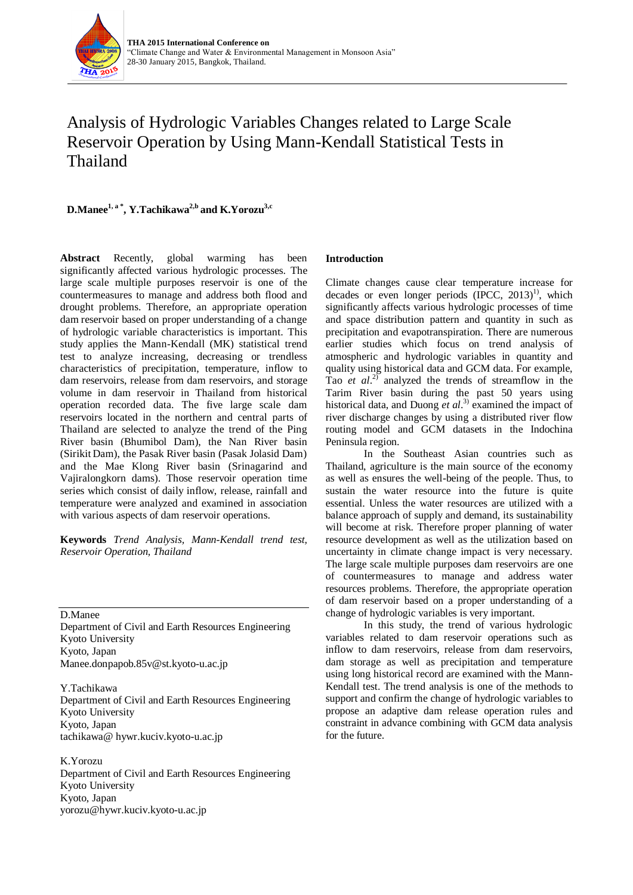

# Analysis of Hydrologic Variables Changes related to Large Scale Reservoir Operation by Using Mann-Kendall Statistical Tests in Thailand

**D.Manee1, a \* , Y.Tachikawa2,b and K.Yorozu3,c**

**Abstract** Recently, global warming has been significantly affected various hydrologic processes. The large scale multiple purposes reservoir is one of the countermeasures to manage and address both flood and drought problems. Therefore, an appropriate operation dam reservoir based on proper understanding of a change of hydrologic variable characteristics is important. This study applies the Mann-Kendall (MK) statistical trend test to analyze increasing, decreasing or trendless characteristics of precipitation, temperature, inflow to dam reservoirs, release from dam reservoirs, and storage volume in dam reservoir in Thailand from historical operation recorded data. The five large scale dam reservoirs located in the northern and central parts of Thailand are selected to analyze the trend of the Ping River basin (Bhumibol Dam), the Nan River basin (Sirikit Dam), the Pasak River basin (Pasak Jolasid Dam) and the Mae Klong River basin (Srinagarind and Vajiralongkorn dams). Those reservoir operation time series which consist of daily inflow, release, rainfall and temperature were analyzed and examined in association with various aspects of dam reservoir operations.

**Keywords** *Trend Analysis, Mann-Kendall trend test, Reservoir Operation, Thailand*

D.Manee

Department of Civil and Earth Resources Engineering Kyoto University Kyoto, Japan Manee.donpapob.85v@st.kyoto-u.ac.jp

Y.Tachikawa Department of Civil and Earth Resources Engineering Kyoto University Kyoto, Japan tachikawa@ hywr.kuciv.kyoto-u.ac.jp

K.Yorozu Department of Civil and Earth Resources Engineering Kyoto University Kyoto, Japan yorozu@hywr.kuciv.kyoto-u.ac.jp

# **Introduction**

Climate changes cause clear temperature increase for decades or even longer periods  $(IPCC, 2013)^{1}$ , which significantly affects various hydrologic processes of time and space distribution pattern and quantity in such as precipitation and evapotranspiration. There are numerous earlier studies which focus on trend analysis of atmospheric and hydrologic variables in quantity and quality using historical data and GCM data. For example, Tao *et al*. 2) analyzed the trends of streamflow in the Tarim River basin during the past 50 years using historical data, and Duong *et al*. 3) examined the impact of river discharge changes by using a distributed river flow routing model and GCM datasets in the Indochina Peninsula region.

In the Southeast Asian countries such as Thailand, agriculture is the main source of the economy as well as ensures the well-being of the people. Thus, to sustain the water resource into the future is quite essential. Unless the water resources are utilized with a balance approach of supply and demand, its sustainability will become at risk. Therefore proper planning of water resource development as well as the utilization based on uncertainty in climate change impact is very necessary. The large scale multiple purposes dam reservoirs are one of countermeasures to manage and address water resources problems. Therefore, the appropriate operation of dam reservoir based on a proper understanding of a change of hydrologic variables is very important.

In this study, the trend of various hydrologic variables related to dam reservoir operations such as inflow to dam reservoirs, release from dam reservoirs, dam storage as well as precipitation and temperature using long historical record are examined with the Mann-Kendall test. The trend analysis is one of the methods to support and confirm the change of hydrologic variables to propose an adaptive dam release operation rules and constraint in advance combining with GCM data analysis for the future.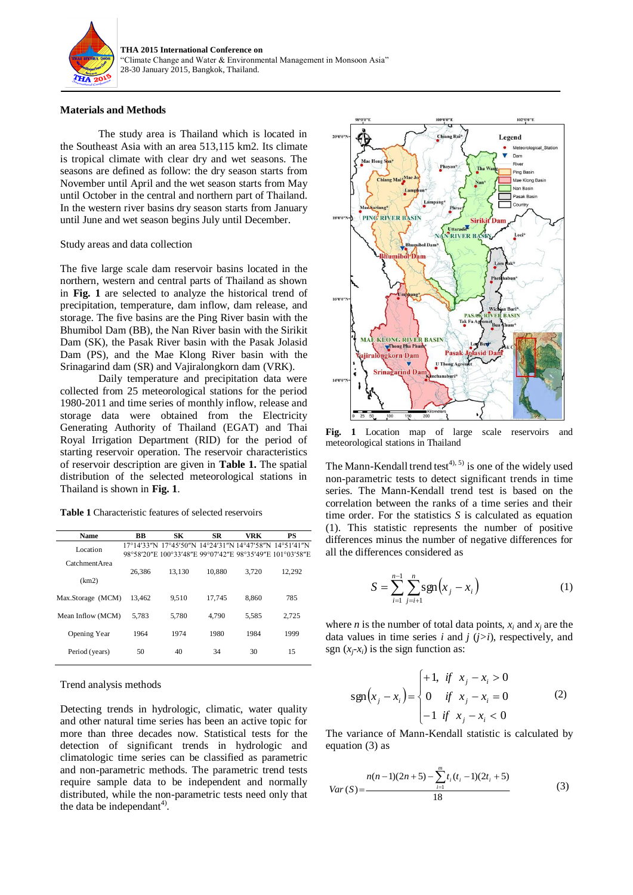

## **Materials and Methods**

The study area is Thailand which is located in the Southeast Asia with an area 513,115 km2. Its climate is tropical climate with clear dry and wet seasons. The seasons are defined as follow: the dry season starts from November until April and the wet season starts from May until October in the central and northern part of Thailand. In the western river basins dry season starts from January until June and wet season begins July until December.

## Study areas and data collection

The five large scale dam reservoir basins located in the northern, western and central parts of Thailand as shown in **Fig. 1** are selected to analyze the historical trend of precipitation, temperature, dam inflow, dam release, and storage. The five basins are the Ping River basin with the Bhumibol Dam (BB), the Nan River basin with the Sirikit Dam (SK), the Pasak River basin with the Pasak Jolasid Dam (PS), and the Mae Klong River basin with the Srinagarind dam (SR) and Vajiralongkorn dam (VRK).

Daily temperature and precipitation data were collected from 25 meteorological stations for the period 1980-2011 and time series of monthly inflow, release and storage data were obtained from the Electricity Generating Authority of Thailand (EGAT) and Thai Royal Irrigation Department (RID) for the period of starting reservoir operation. The reservoir characteristics of reservoir description are given in **Table 1.** The spatial distribution of the selected meteorological stations in Thailand is shown in **Fig. 1**.

**Table 1** Characteristic features of selected reservoirs

| <b>Name</b>       | BB     | SК                                                                                                                 | <b>SR</b> | VRK   | PS     |
|-------------------|--------|--------------------------------------------------------------------------------------------------------------------|-----------|-------|--------|
| Location          |        | 17°14'33″N 17°45'50″N 14°24'31″N 14°47'58″N 14°51'41″N<br>98°58'20"E 100°33'48"E 99°07'42"E 98°35'49"E 101°03'58"E |           |       |        |
| Catchment Area    |        |                                                                                                                    |           |       |        |
| (km2)             | 26.386 | 13.130                                                                                                             | 10.880    | 3.720 | 12,292 |
| Max.Storage (MCM) | 13.462 | 9.510                                                                                                              | 17.745    | 8.860 | 785    |
| Mean Inflow (MCM) | 5.783  | 5.780                                                                                                              | 4.790     | 5.585 | 2.725  |
| Opening Year      | 1964   | 1974                                                                                                               | 1980      | 1984  | 1999   |
| Period (years)    | 50     | 40                                                                                                                 | 34        | 30    | 15     |

## Trend analysis methods

Detecting trends in hydrologic, climatic, water quality and other natural time series has been an active topic for more than three decades now. Statistical tests for the detection of significant trends in hydrologic and climatologic time series can be classified as parametric and non-parametric methods. The parametric trend tests require sample data to be independent and normally distributed, while the non-parametric tests need only that the data be independant<sup>4)</sup>.



**Fig. 1** Location map of large scale reservoirs and meteorological stations in Thailand

The Mann-Kendall trend test<sup>4), 5)</sup> is one of the widely used non-parametric tests to detect significant trends in time series. The Mann-Kendall trend test is based on the correlation between the ranks of a time series and their time order. For the statistics *S* is calculated as equation (1). This statistic represents the number of positive differences minus the number of negative differences for all the differences considered as

$$
S = \sum_{i=1}^{n-1} \sum_{j=i+1}^{n} \text{sgn}(x_j - x_i)
$$
 (1)

where *n* is the number of total data points,  $x_i$  and  $x_j$  are the data values in time series *i* and  $j$   $(j>i)$ , respectively, and sgn  $(x_i-x_i)$  is the sign function as:

$$
sgn(x_j - x_i) = \begin{cases} +1, & \text{if } x_j - x_i > 0 \\ 0 & \text{if } x_j - x_i = 0 \\ -1 & \text{if } x_j - x_i < 0 \end{cases}
$$
 (2)

The variance of Mann-Kendall statistic is calculated by equation (3) as

$$
Var(S) = \frac{n(n-1)(2n+5) - \sum_{i=1}^{m} t_i(t_i - 1)(2t_i + 5)}{18}
$$
 (3)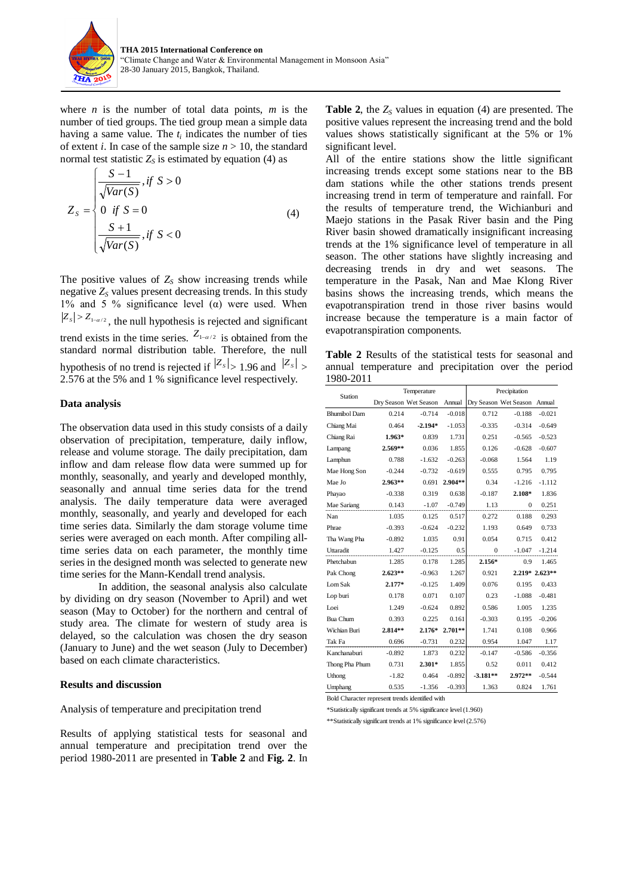

where  $n$  is the number of total data points,  $m$  is the number of tied groups. The tied group mean a simple data having a same value. The  $t_i$  indicates the number of ties of extent *i*. In case of the sample size  $n > 10$ , the standard normal test statistic  $Z<sub>S</sub>$  is estimated by equation (4) as

$$
Z_{s} = \begin{cases} \frac{S-1}{\sqrt{Var(S)}}, & \text{if } S > 0\\ 0 & \text{if } S = 0\\ \frac{S+1}{\sqrt{Var(S)}}, & \text{if } S < 0 \end{cases}
$$
(4)

The positive values of  $Z<sub>S</sub>$  show increasing trends while negative  $Z<sub>S</sub>$  values present decreasing trends. In this study 1% and 5 % significance level ( $α$ ) were used. When  $|Z_s| > Z_{1-\alpha/2}$ , the null hypothesis is rejected and significant trend exists in the time series.  $Z_{1-\alpha/2}$  is obtained from the standard normal distribution table. Therefore, the null hypothesis of no trend is rejected if  $|Z_s| > 1.96$  and  $|Z_s| > 1.96$ 2.576 at the 5% and 1 % significance level respectively.

## **Data analysis**

The observation data used in this study consists of a daily observation of precipitation, temperature, daily inflow, release and volume storage. The daily precipitation, dam inflow and dam release flow data were summed up for monthly, seasonally, and yearly and developed monthly, seasonally and annual time series data for the trend analysis. The daily temperature data were averaged monthly, seasonally, and yearly and developed for each time series data. Similarly the dam storage volume time series were averaged on each month. After compiling alltime series data on each parameter, the monthly time series in the designed month was selected to generate new time series for the Mann-Kendall trend analysis.

In addition, the seasonal analysis also calculate by dividing on dry season (November to April) and wet season (May to October) for the northern and central of study area. The climate for western of study area is delayed, so the calculation was chosen the dry season (January to June) and the wet season (July to December) based on each climate characteristics.

## **Results and discussion**

Analysis of temperature and precipitation trend

Results of applying statistical tests for seasonal and annual temperature and precipitation trend over the period 1980-2011 are presented in **Table 2** and **Fig. 2**. In

**Table 2**, the  $Z<sub>S</sub>$  values in equation (4) are presented. The positive values represent the increasing trend and the bold values shows statistically significant at the 5% or 1% significant level.

All of the entire stations show the little significant increasing trends except some stations near to the BB dam stations while the other stations trends present increasing trend in term of temperature and rainfall. For the results of temperature trend, the Wichianburi and Maejo stations in the Pasak River basin and the Ping River basin showed dramatically insignificant increasing trends at the 1% significance level of temperature in all season. The other stations have slightly increasing and decreasing trends in dry and wet seasons. The temperature in the Pasak, Nan and Mae Klong River basins shows the increasing trends, which means the evapotranspiration trend in those river basins would increase because the temperature is a main factor of evapotranspiration components.

**Table 2** Results of the statistical tests for seasonal and annual temperature and precipitation over the period 1980-2011

| <b>Station</b>      | Temperature |                       | Precipitation |            |                       |                |
|---------------------|-------------|-----------------------|---------------|------------|-----------------------|----------------|
|                     |             | Dry Season Wet Season | Annual        |            | Dry Season Wet Season | Annual         |
| <b>Bhumibol Dam</b> | 0.214       | $-0.714$              | $-0.018$      | 0.712      | $-0.188$              | $-0.021$       |
| Chiang Mai          | 0.464       | $-2.194*$             | $-1.053$      | $-0.335$   | $-0.314$              | $-0.649$       |
| Chiang Rai          | $1.963*$    | 0.839                 | 1.731         | 0.251      | $-0.565$              | $-0.523$       |
| Lampang             | $2.569**$   | 0.036                 | 1.855         | 0.126      | $-0.628$              | $-0.607$       |
| Lamphun             | 0.788       | $-1.632$              | $-0.263$      | $-0.068$   | 1.564                 | 1.19           |
| Mae Hong Son        | $-0.244$    | $-0.732$              | $-0.619$      | 0.555      | 0.795                 | 0.795          |
| Mae Jo              | $2.963**$   | 0.691                 | 2.904**       | 0.34       | $-1.216$              | $-1.112$       |
| Phayao              | $-0.338$    | 0.319                 | 0.638         | $-0.187$   | 2.108*                | 1.836          |
| Mae Sariang         | 0.143       | $-1.07$               | $-0.749$      | 1.13       | $\Omega$              | 0.251          |
| Nan                 | 1.035       | 0.125                 | 0.517         | 0.272      | 0.188                 | 0.293          |
| Phrae               | $-0.393$    | $-0.624$              | $-0.232$      | 1.193      | 0.649                 | 0.733          |
| Tha Wang Pha        | $-0.892$    | 1.035                 | 0.91          | 0.054      | 0.715                 | 0.412          |
| Uttaradit           | 1.427       | $-0.125$              | 0.5           | $\theta$   | $-1.047$              | $-1.214$       |
| Phetchabun          | 1.285       | 0.178                 | 1.285         | $2.156*$   | 0.9                   | 1.465          |
| Pak Chong           | $2.623**$   | $-0.963$              | 1.267         | 0.921      |                       | 2.219* 2.623** |
| Lom Sak             | $2.177*$    | $-0.125$              | 1.409         | 0.076      | 0.195                 | 0.433          |
| Lop buri            | 0.178       | 0.071                 | 0.107         | 0.23       | $-1.088$              | $-0.481$       |
| Loei                | 1.249       | $-0.624$              | 0.892         | 0.586      | 1.005                 | 1.235          |
| <b>Bua Chum</b>     | 0.393       | 0.225                 | 0.161         | $-0.303$   | 0.195                 | $-0.206$       |
| Wichian Buri        | $2.814**$   | $2.176*$              | $2.701**$     | 1.741      | 0.108                 | 0.966          |
| Tak Fa              | 0.696       | $-0.731$              | 0.232         | 0.954      | 1.047                 | 1.17           |
| Kanchanaburi        | $-0.892$    | 1.873                 | 0.232         | $-0.147$   | $-0.586$              | $-0.356$       |
| Thong Pha Phum      | 0.731       | $2.301*$              | 1.855         | 0.52       | 0.011                 | 0.412          |
| Uthong              | $-1.82$     | 0.464                 | $-0.892$      | $-3.181**$ | $2.972**$             | $-0.544$       |
| Umphang             | 0.535       | $-1.356$              | $-0.393$      | 1.363      | 0.824                 | 1.761          |

Bold Character represent trends identified with

\*Statistically significant trends at 5% significance level (1.960)

\*\*Statistically significant trends at 1% significance level (2.576)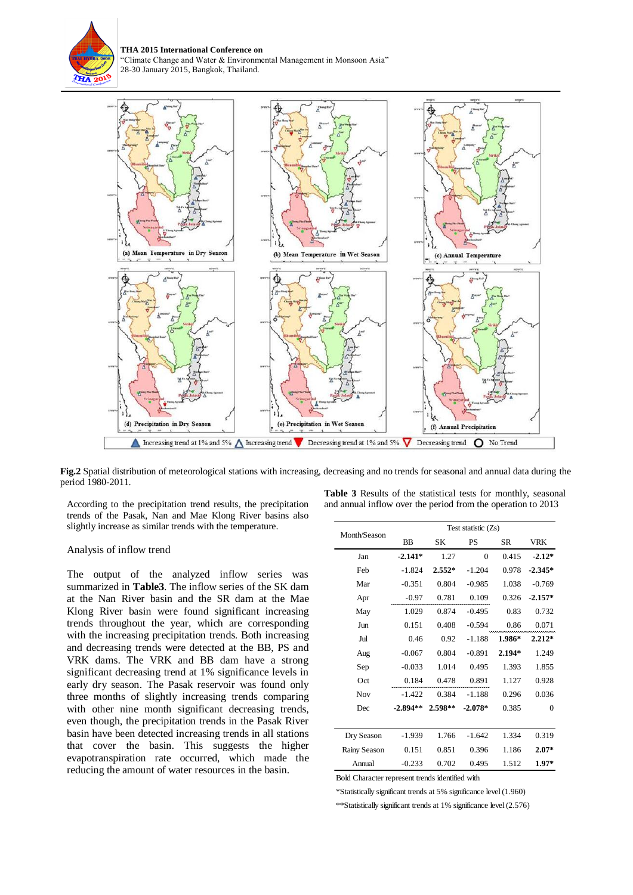

**THA 2015 International Conference on**  "Climate Change and Water & Environmental Management in Monsoon Asia" 28-30 January 2015, Bangkok, Thailand.



**Fig.2** Spatial distribution of meteorological stations with increasing, decreasing and no trends for seasonal and annual data during the period 1980-2011.

According to the precipitation trend results, the precipitation trends of the Pasak, Nan and Mae Klong River basins also slightly increase as similar trends with the temperature.

#### Analysis of inflow trend

The output of the analyzed inflow series was summarized in **Table3**. The inflow series of the SK dam at the Nan River basin and the SR dam at the Mae Klong River basin were found significant increasing trends throughout the year, which are corresponding with the increasing precipitation trends. Both increasing and decreasing trends were detected at the BB, PS and VRK dams. The VRK and BB dam have a strong significant decreasing trend at 1% significance levels in early dry season. The Pasak reservoir was found only three months of slightly increasing trends comparing with other nine month significant decreasing trends, even though, the precipitation trends in the Pasak River basin have been detected increasing trends in all stations that cover the basin. This suggests the higher evapotranspiration rate occurred, which made the reducing the amount of water resources in the basin.

| Month/Season | Test statistic $(Zs)$ |          |           |           |              |  |
|--------------|-----------------------|----------|-----------|-----------|--------------|--|
|              | <b>BB</b>             | SK       | <b>PS</b> | <b>SR</b> | <b>VRK</b>   |  |
| Jan          | $-2.141*$             | 1.27     | $\theta$  | 0.415     | $-2.12*$     |  |
| Feb          | $-1.824$              | $2.552*$ | $-1.204$  | 0.978     | $-2.345*$    |  |
| Mar          | $-0.351$              | 0.804    | $-0.985$  | 1.038     | $-0.769$     |  |
| Apr          | $-0.97$               | 0.781    | 0.109     | 0.326     | $-2.157*$    |  |
| May          | 1.029                 | 0.874    | $-0.495$  | 0.83      | 0.732        |  |
| Jun          | 0.151                 | 0.408    | $-0.594$  | 0.86      | 0.071        |  |
| Jul          | 0.46                  | 0.92     | $-1.188$  | 1.986*    | $2.212*$     |  |
| Aug          | $-0.067$              | 0.804    | $-0.891$  | $2.194*$  | 1.249        |  |
| Sep          | $-0.033$              | 1.014    | 0.495     | 1.393     | 1.855        |  |
| Oct          | 0.184                 | 0.478    | 0.891     | 1.127     | 0.928        |  |
| Nov          | $-1.422$              | 0.384    | $-1.188$  | 0.296     | 0.036        |  |
| Dec          | $-2.894**$            | 2.598**  | $-2.078*$ | 0.385     | $\mathbf{0}$ |  |
|              |                       |          |           |           |              |  |
| Dry Season   | $-1.939$              | 1.766    | $-1.642$  | 1.334     | 0.319        |  |
| Rainy Season | 0.151                 | 0.851    | 0.396     | 1.186     | $2.07*$      |  |
| Annual       | $-0.233$              | 0.702    | 0.495     | 1.512     | $1.97*$      |  |

**Table 3** Results of the statistical tests for monthly, seasonal and annual inflow over the period from the operation to 2013

Bold Character represent trends identified with

\*Statistically significant trends at 5% significance level (1.960)

\*\*Statistically significant trends at 1% significance level (2.576)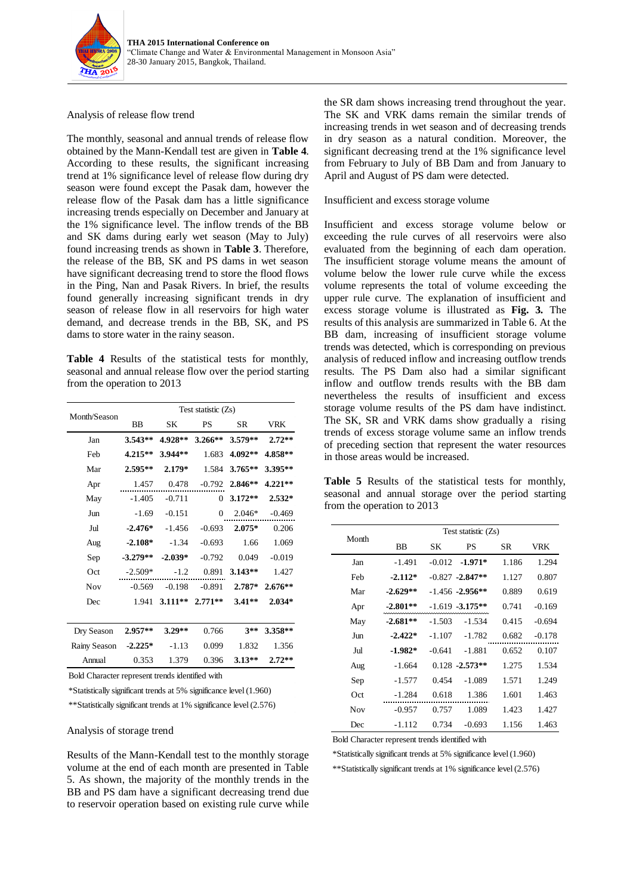

# Analysis of release flow trend

The monthly, seasonal and annual trends of release flow obtained by the Mann-Kendall test are given in **Table 4**. According to these results, the significant increasing trend at 1% significance level of release flow during dry season were found except the Pasak dam, however the release flow of the Pasak dam has a little significance increasing trends especially on December and January at the 1% significance level. The inflow trends of the BB and SK dams during early wet season (May to July) found increasing trends as shown in **Table 3**. Therefore, the release of the BB, SK and PS dams in wet season have significant decreasing trend to store the flood flows in the Ping, Nan and Pasak Rivers. In brief, the results found generally increasing significant trends in dry season of release flow in all reservoirs for high water demand, and decrease trends in the BB, SK, and PS dams to store water in the rainy season.

**Table 4** Results of the statistical tests for monthly, seasonal and annual release flow over the period starting from the operation to 2013

| Month/Season | Test statistic (Zs) |                                   |              |           |            |  |
|--------------|---------------------|-----------------------------------|--------------|-----------|------------|--|
|              | <b>BB</b>           | SK                                | PS           | <b>SR</b> | <b>VRK</b> |  |
| Jan          | $3.543**$           | 4.928**                           | $3.266**$    | 3.579**   | $2.72**$   |  |
| Feb          | $4.215**$           | 3.944**                           | 1.683        | 4.092**   | 4.858**    |  |
| Mar          | 2.595**             | $2.179*$                          | 1.584        | $3.765**$ | 3.395**    |  |
| Apr          | 1.457               | 0.478                             | $-0.792$     | 2.846**   | $4.221**$  |  |
| May          | $-1.405$            | $-0.711$                          | $\mathbf{0}$ | $3.172**$ | $2.532*$   |  |
| Jun          | $-1.69$             | $-0.151$                          | 0            | $2.046*$  | $-0.469$   |  |
| Jul          | $-2.476*$           | $-1.456$                          | $-0.693$     | 2.075*    | 0.206      |  |
| Aug          | $-2.108*$           | $-1.34$                           | $-0.693$     | 1.66      | 1.069      |  |
| Sep          | $-3.279**$          | $-2.039*$                         | $-0.792$     | 0.049     | $-0.019$   |  |
| Oct          | $-2.509*$           | $-1.2$                            | 0.891        | $3.143**$ | 1.427      |  |
| <b>Nov</b>   | $-0.569$            | $-0.198$                          | $-0.891$     | $2.787*$  | $2.676**$  |  |
| Dec          | 1.941               | $3.111**$                         | $2.771**$    | $3.41**$  | $2.034*$   |  |
|              |                     |                                   |              |           |            |  |
| Dry Season   | $2.957**$           | $3.29**$                          | 0.766        | $3**$     | 3.358**    |  |
| Rainy Season | $-2.225*$           | $-1.13$                           | 0.099        | 1.832     | 1.356      |  |
| Annual       | 0.353               | 1.379                             | 0.396        | $3.13**$  | $2.72**$   |  |
| $T = 11.01$  |                     | $\cdot$ 1 $\cdot$ $\cdot$ $\cdot$ | $\cdot$ .1   |           |            |  |

Bold Character represent trends identified with

\*Statistically significant trends at 5% significance level (1.960)

\*\*Statistically significant trends at 1% significance level (2.576)

# Analysis of storage trend

Results of the Mann-Kendall test to the monthly storage volume at the end of each month are presented in Table 5. As shown, the majority of the monthly trends in the BB and PS dam have a significant decreasing trend due to reservoir operation based on existing rule curve while

the SR dam shows increasing trend throughout the year. The SK and VRK dams remain the similar trends of increasing trends in wet season and of decreasing trends in dry season as a natural condition. Moreover, the significant decreasing trend at the 1% significance level from February to July of BB Dam and from January to April and August of PS dam were detected.

## Insufficient and excess storage volume

Insufficient and excess storage volume below or exceeding the rule curves of all reservoirs were also evaluated from the beginning of each dam operation. The insufficient storage volume means the amount of volume below the lower rule curve while the excess volume represents the total of volume exceeding the upper rule curve. The explanation of insufficient and excess storage volume is illustrated as **Fig. 3.** The results of this analysis are summarized in Table 6. At the BB dam, increasing of insufficient storage volume trends was detected, which is corresponding on previous analysis of reduced inflow and increasing outflow trends results. The PS Dam also had a similar significant inflow and outflow trends results with the BB dam nevertheless the results of insufficient and excess storage volume results of the PS dam have indistinct. The SK, SR and VRK dams show gradually a rising trends of excess storage volume same an inflow trends of preceding section that represent the water resources in those areas would be increased.

**Table 5** Results of the statistical tests for monthly, seasonal and annual storage over the period starting from the operation to 2013

| Month      | Test statistic (Zs) |          |                     |       |            |  |
|------------|---------------------|----------|---------------------|-------|------------|--|
|            | BB                  | SК<br>PS |                     | SR.   | <b>VRK</b> |  |
| Jan        | $-1.491$            | $-0.012$ | $-1.971*$           | 1.186 | 1.294      |  |
| Feb        | $-2.112*$           |          | $-0.827 - 2.847**$  | 1.127 | 0.807      |  |
| Mar        | $-2.629**$          |          | $-1.456 - 2.956$ ** | 0.889 | 0.619      |  |
| Apr        | $-2.801**$          |          | $-1.619 - 3.175$ ** | 0.741 | $-0.169$   |  |
| May        | $-2.681**$          | $-1.503$ | $-1.534$            | 0.415 | $-0.694$   |  |
| Jun        | $-2.422*$           | $-1.107$ | $-1.782$            | 0.682 | $-0.178$   |  |
| Jul        | $-1.982*$           | $-0.641$ | $-1.881$            | 0.652 | 0.107      |  |
| Aug        | $-1.664$            |          | $0.128 - 2.573**$   | 1.275 | 1.534      |  |
| Sep        | $-1.577$            | 0.454    | $-1.089$            | 1.571 | 1.249      |  |
| Oct        | $-1.284$            | 0.618    | 1.386               | 1.601 | 1.463      |  |
| <b>Nov</b> | $-0.957$            | 0.757    | 1.089               | 1.423 | 1.427      |  |
| Dec        | $-1.112$            | 0.734    | $-0.693$            | 1.156 | 1.463      |  |

Bold Character represent trends identified with

\*Statistically significant trends at 5% significance level (1.960)

\*\*Statistically significant trends at 1% significance level (2.576)